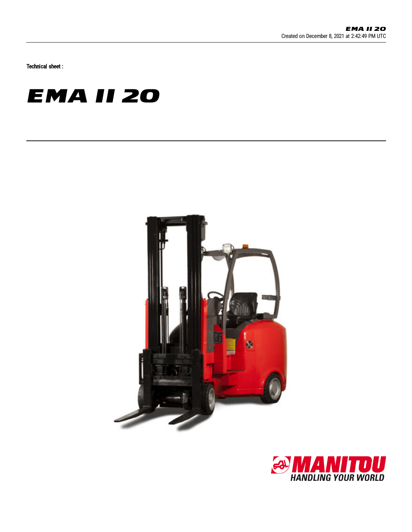Technical sheet :

## **EMA II 20**



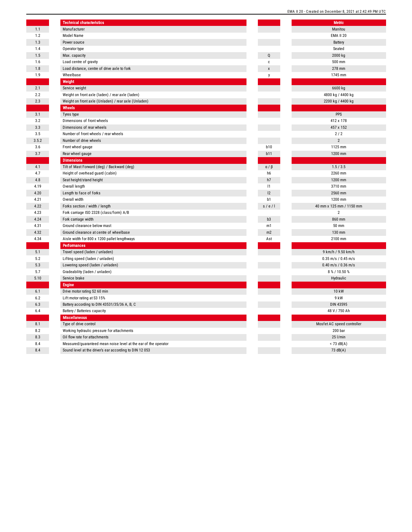|       | <b>Technical characteristics</b>                                |                |    |
|-------|-----------------------------------------------------------------|----------------|----|
| 1.1   | Manufacturer                                                    |                |    |
| 1.2   | Model Name                                                      |                |    |
| 1.3   | Power source                                                    |                |    |
| 1.4   | Operator type                                                   |                |    |
| 1.5   | Max. capacity                                                   | Q              |    |
| 1.6   | Load centre of gravity                                          | c              |    |
| 1.8   | Load distance, centre of drive axle to fork                     | X              |    |
| 1.9   | Wheelbase                                                       | y              |    |
|       | Weight                                                          |                |    |
| 2.1   | Service weight                                                  |                |    |
| 2.2   | Weight on front axle (laden) / rear axle (laden)                |                |    |
| 2.3   | Weight on front axle (Unladen) / rear axle (Unladen)            |                |    |
|       | Wheels                                                          |                |    |
| 3.1   | Tyres type                                                      |                |    |
| 3.2   | Dimensions of front wheels                                      |                |    |
| 3.3   | Dimensions of rear wheels                                       |                |    |
| 3.5   | Number of front wheels / rear wheels                            |                |    |
| 3.5.2 | Number of drive wheels                                          |                |    |
| 3.6   | Front wheel gauge                                               | <b>b10</b>     |    |
| 3.7   | Rear wheel gauge                                                | b11            |    |
|       | <b>Dimensions</b>                                               |                |    |
| 4.1   | Tilt of Mast Forward (deg) / Backward (deg)                     | $a / \beta$    |    |
| 4.7   | Height of overhead guard (cabin)                                | h6             |    |
| 4.8   | Seat height/stand height                                        | h7             |    |
| 4.19  | Overall length                                                  | 1              |    |
| 4.20  | Length to face of forks                                         | 12             |    |
| 4.21  | Overall width                                                   | b1             |    |
| 4.22  | Forks section / width / length                                  | s / e / I      | 40 |
| 4.23  | Fork carriage ISO 2328 (class/form) A/B                         |                |    |
| 4.24  | Fork carriage width                                             | b <sub>3</sub> |    |
| 4.31  | Ground clearance below mast                                     | m1             |    |
| 4.32  | Ground clearance at centre of wheelbase                         | m2             |    |
| 4.34  | Aisle width for 800 x 1200 pallet lengthways                    | Ast            |    |
|       | <b>Performances</b>                                             |                |    |
| 5.1   | Travel speed (laden / unladen)                                  |                |    |
| 5.2   | Lifting speed (laden / unladen)                                 |                |    |
| 5.3   | Lowering speed (laden / unladen)                                |                |    |
| 5.7   | Gradeability (laden / unladen)                                  |                |    |
| 5.10  | Service brake                                                   |                |    |
|       | <b>Engine</b>                                                   |                |    |
| 6.1   | Drive motor rating S2 60 min                                    |                |    |
| 6.2   | Lift motor rating at S3 15%                                     |                |    |
| 6.3   | Battery according to DIN 43531/35/36 A, B, C                    |                |    |
| 6.4   | Battery / Batteries capacity                                    |                |    |
|       | <b>Miscellaneous</b>                                            |                |    |
| 8.1   | Type of drive control                                           |                | M  |
| 8.2   | Working hydraulic pressure for attachments                      |                |    |
| 8.3   | Oil flow rate for attachments                                   |                |    |
| 8.4   | Measured/guaranteed mean noise level at the ear of the operator |                |    |
| 8.4   | Sound level at the driver's ear according to DIN 12 053         |                |    |
|       |                                                                 |                |    |

|                | EMA II 20 - Created on December 8, 2021 at 2:42:49 PM UTC |  |  |  |  |  |  |
|----------------|-----------------------------------------------------------|--|--|--|--|--|--|
|                | <b>Metric</b>                                             |  |  |  |  |  |  |
|                | Manitou                                                   |  |  |  |  |  |  |
|                | <b>EMA II 20</b>                                          |  |  |  |  |  |  |
|                | Battery                                                   |  |  |  |  |  |  |
|                | Seated                                                    |  |  |  |  |  |  |
|                |                                                           |  |  |  |  |  |  |
| Q              | 2000 kg                                                   |  |  |  |  |  |  |
| c              | 500 mm                                                    |  |  |  |  |  |  |
| X              | 278 mm                                                    |  |  |  |  |  |  |
| у              | 1745 mm                                                   |  |  |  |  |  |  |
|                |                                                           |  |  |  |  |  |  |
|                | 6600 kg                                                   |  |  |  |  |  |  |
|                | 4800 kg / 4400 kg                                         |  |  |  |  |  |  |
|                | 2200 kg / 4400 kg                                         |  |  |  |  |  |  |
|                |                                                           |  |  |  |  |  |  |
|                | PPS                                                       |  |  |  |  |  |  |
|                | 412 x 178                                                 |  |  |  |  |  |  |
|                | 457 x 152                                                 |  |  |  |  |  |  |
|                | 2/2                                                       |  |  |  |  |  |  |
|                | $\overline{2}$                                            |  |  |  |  |  |  |
| <b>b10</b>     | 1125 mm                                                   |  |  |  |  |  |  |
| b11            | 1200 mm                                                   |  |  |  |  |  |  |
|                |                                                           |  |  |  |  |  |  |
| $a / \beta$    | 1.5 / 3.5                                                 |  |  |  |  |  |  |
| h <sub>6</sub> | 2260 mm                                                   |  |  |  |  |  |  |
| h7             | 1200 mm                                                   |  |  |  |  |  |  |
| 1              | 3710 mm                                                   |  |  |  |  |  |  |
| 12             | 2560 mm                                                   |  |  |  |  |  |  |
| b1             | 1200 mm                                                   |  |  |  |  |  |  |
| s / e / I      | 40 mm x 125 mm / 1150 mm                                  |  |  |  |  |  |  |
|                | $\overline{2}$                                            |  |  |  |  |  |  |
| b <sub>3</sub> | 860 mm                                                    |  |  |  |  |  |  |
| m1             | 50 mm                                                     |  |  |  |  |  |  |
| m2             | 130 mm                                                    |  |  |  |  |  |  |
| Ast            | 2100 mm                                                   |  |  |  |  |  |  |
|                |                                                           |  |  |  |  |  |  |
|                | 9 km/h / 9.50 km/h                                        |  |  |  |  |  |  |
|                | $0.35$ m/s / $0.45$ m/s                                   |  |  |  |  |  |  |
|                | $0.40$ m/s / $0.36$ m/s                                   |  |  |  |  |  |  |
|                | 8 % / 10.50 %                                             |  |  |  |  |  |  |
|                | Hydraulic                                                 |  |  |  |  |  |  |
|                |                                                           |  |  |  |  |  |  |
|                | 10 kW                                                     |  |  |  |  |  |  |
|                | 9 kW                                                      |  |  |  |  |  |  |
|                | <b>DIN 43595</b>                                          |  |  |  |  |  |  |
|                | 48 V / 750 Ah                                             |  |  |  |  |  |  |
|                |                                                           |  |  |  |  |  |  |
|                | Mosfet AC speed controller                                |  |  |  |  |  |  |
|                | 200 bar                                                   |  |  |  |  |  |  |
|                | 25 l/min                                                  |  |  |  |  |  |  |
|                | $< 73$ dB(A)                                              |  |  |  |  |  |  |
|                | 73 dB(A)                                                  |  |  |  |  |  |  |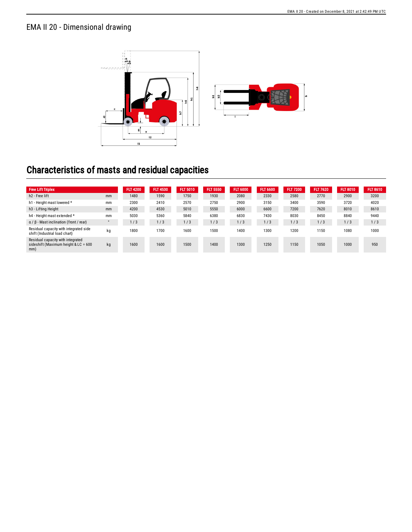## EMA II 20 - Dimensional drawing



## Characteristics of masts and residual capacities

| <b>Free Lift Triplex</b>                                                         |         | <b>FLT 4200</b> | <b>FLT 4530</b> | FLT 5010 | <b>FLT 5550</b> | <b>FLT 6000</b> | <b>FLT 6600</b> | <b>FLT 7200</b> | <b>FLT 7620</b> | <b>FLT 8010</b> | <b>FLT 8610</b> |
|----------------------------------------------------------------------------------|---------|-----------------|-----------------|----------|-----------------|-----------------|-----------------|-----------------|-----------------|-----------------|-----------------|
| h <sub>2</sub> - Free lift                                                       | mm      | 1480            | 1590            | 1750     | 1930            | 2080            | 2330            | 2580            | 2770            | 2900            | 3200            |
| h1 - Height mast lowered *                                                       | mm      | 2300            | 2410            | 2570     | 2750            | 2900            | 3150            | 3400            | 3590            | 3720            | 4020            |
| h <sub>3</sub> - Lifting Height                                                  | mm      | 4200            | 4530            | 5010     | 5550            | 6000            | 6600            | 7200            | 7620            | 8010            | 8610            |
| h4 - Height mast extended *                                                      | mm      | 5030            | 5360            | 5840     | 6380            | 6830            | 7430            | 8030            | 8450            | 8840            | 9440            |
| $\alpha$ / $\beta$ - Mast inclination (front / rear)                             | $\circ$ | 1/3             | 1/3             | 1/3      | 1/3             | 1/3             | 1/3             | 1/3             | l/3             | 1/3             | 1/3             |
| Residual capacity with integrated side<br>shift (Industrial load chart)          | kg      | 1800            | 1700            | 1600     | 1500            | 1400            | 1300            | 1200            | 1150            | 1080            | 1000            |
| Residual capacity with integrated<br>sideshift (Maximum height & LC = 600<br>mm) | kg      | 1600            | 1600            | 1500     | 1400            | 1300            | 1250            | 1150            | 1050            | 1000            | 950             |